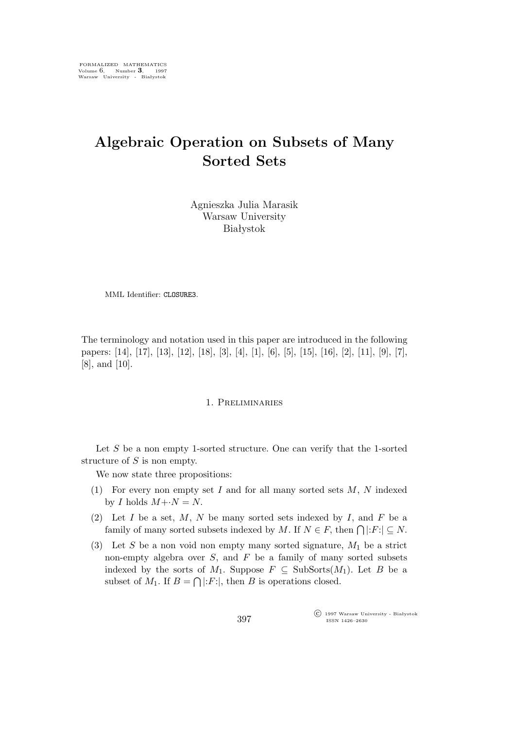## **Algebraic Operation on Subsets of Many Sorted Sets**

Agnieszka Julia Marasik Warsaw University Białystok

MML Identifier: CLOSURE3.

The terminology and notation used in this paper are introduced in the following papers: [14], [17], [13], [12], [18], [3], [4], [1], [6], [5], [15], [16], [2], [11], [9], [7], [8], and [10].

## 1. Preliminaries

Let  $S$  be a non empty 1-sorted structure. One can verify that the 1-sorted structure of S is non empty.

We now state three propositions:

- (1) For every non empty set I and for all many sorted sets  $M$ , N indexed by *I* holds  $M + N = N$ .
- (2) Let I be a set, M, N be many sorted sets indexed by I, and F be a family of many sorted subsets indexed by M. If  $N \in F$ , then  $\bigcap |F| \subseteq N$ .
- (3) Let S be a non void non empty many sorted signature,  $M_1$  be a strict non-empty algebra over  $S$ , and  $F$  be a family of many sorted subsets indexed by the sorts of  $M_1$ . Suppose  $F \subseteq \text{SubSorts}(M_1)$ . Let B be a subset of  $M_1$ . If  $B = \bigcap |F|$ , then B is operations closed.

°c 1997 Warsaw University - Białystok ISSN 1426–2630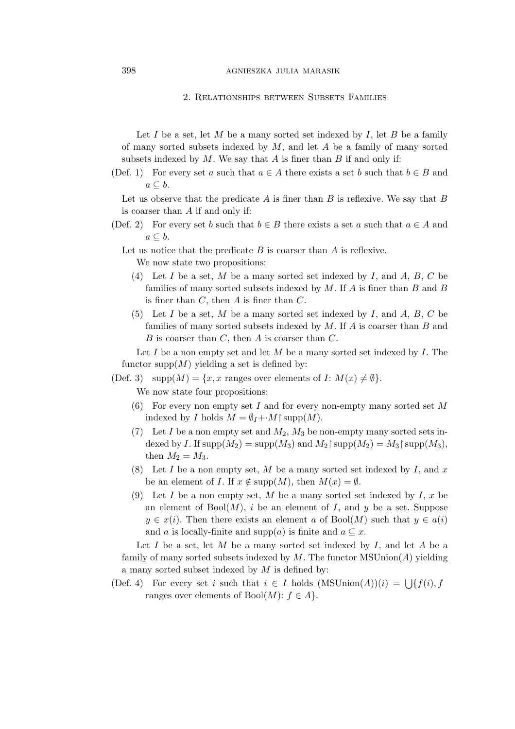## 398 agnieszka julia marasik

2. Relationships between Subsets Families

Let I be a set, let M be a many sorted set indexed by I, let B be a family of many sorted subsets indexed by  $M$ , and let  $A$  be a family of many sorted subsets indexed by  $M$ . We say that  $A$  is finer than  $B$  if and only if:

(Def. 1) For every set a such that  $a \in A$  there exists a set b such that  $b \in B$  and a *⊆* b.

Let us observe that the predicate A is finer than B is reflexive. We say that B is coarser than A if and only if:

(Def. 2) For every set b such that  $b \in B$  there exists a set a such that  $a \in A$  and a *⊆* b.

Let us notice that the predicate  $B$  is coarser than  $A$  is reflexive. We now state two propositions:

- (4) Let I be a set, M be a many sorted set indexed by I, and A, B, C be families of many sorted subsets indexed by  $M$ . If  $A$  is finer than  $B$  and  $B$ is finer than  $C$ , then  $A$  is finer than  $C$ .
- (5) Let I be a set, M be a many sorted set indexed by I, and A, B, C be families of many sorted subsets indexed by  $M$ . If  $A$  is coarser than  $B$  and  $B$  is coarser than  $C$ , then  $A$  is coarser than  $C$ .

Let  $I$  be a non empty set and let  $M$  be a many sorted set indexed by  $I$ . The functor supp $(M)$  yielding a set is defined by:

(Def. 3)  $\text{supp}(M) = \{x, x \text{ ranges over elements of } I: M(x) \neq \emptyset\}.$ 

We now state four propositions:

- (6) For every non empty set I and for every non-empty many sorted set  $M$ indexed by *I* holds  $M = \emptyset_I + M \restriction \text{supp}(M)$ .
- (7) Let I be a non empty set and  $M_2$ ,  $M_3$  be non-empty many sorted sets indexed by I. If  $\text{supp}(M_2) = \text{supp}(M_3)$  and  $M_2 \upharpoonright \text{supp}(M_2) = M_3 \upharpoonright \text{supp}(M_3)$ , then  $M_2 = M_3$ .
- (8) Let I be a non empty set, M be a many sorted set indexed by I, and x be an element of *I*. If  $x \notin \text{supp}(M)$ , then  $M(x) = \emptyset$ .
- (9) Let I be a non empty set, M be a many sorted set indexed by I, x be an element of  $Bool(M)$ , i be an element of I, and y be a set. Suppose  $y \in x(i)$ . Then there exists an element a of Bool $(M)$  such that  $y \in a(i)$ and *a* is locally-finite and supp(*a*) is finite and  $a \subseteq x$ .

Let I be a set, let M be a many sorted set indexed by I, and let A be a family of many sorted subsets indexed by  $M$ . The functor  $MSUnion(A)$  yielding a many sorted subset indexed by  $M$  is defined by:

(Def. 4) For every set i such that  $i \in I$  holds  $(MSUnion(A))(i) = \bigcup \{f(i), f(j)\}$ ranges over elements of  $Bool(M)$ :  $f \in A$ .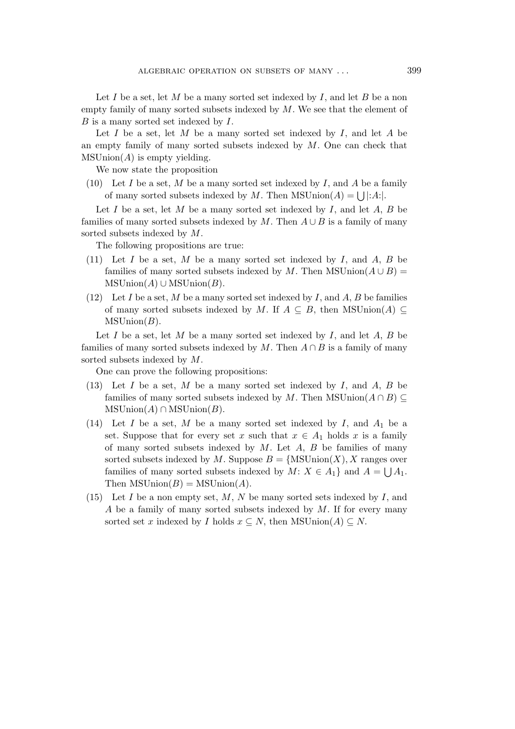Let I be a set, let M be a many sorted set indexed by I, and let B be a non empty family of many sorted subsets indexed by  $M$ . We see that the element of  $B$  is a many sorted set indexed by  $I$ .

Let I be a set, let M be a many sorted set indexed by I, and let A be an empty family of many sorted subsets indexed by  $M$ . One can check that  $MSUnion(A)$  is empty yielding.

We now state the proposition

(10) Let I be a set, M be a many sorted set indexed by I, and A be a family of many sorted subsets indexed by M. Then  $MSUnion(A) = \bigcup |A|$ .

Let  $I$  be a set, let  $M$  be a many sorted set indexed by  $I$ , and let  $A$ ,  $B$  be families of many sorted subsets indexed by M. Then  $A \cup B$  is a family of many sorted subsets indexed by M.

The following propositions are true:

- (11) Let I be a set, M be a many sorted set indexed by I, and A, B be families of many sorted subsets indexed by M. Then MSUnion( $A \cup B$ ) =  $MSUnion(A) \cup MSUnion(B)$ .
- (12) Let I be a set, M be a many sorted set indexed by I, and A, B be families of many sorted subsets indexed by M. If  $A \subseteq B$ , then MSUnion(A)  $\subseteq$  $MSUnion(B)$ .

Let  $I$  be a set, let  $M$  be a many sorted set indexed by  $I$ , and let  $A$ ,  $B$  be families of many sorted subsets indexed by M. Then  $A \cap B$  is a family of many sorted subsets indexed by M.

One can prove the following propositions:

- (13) Let  $I$  be a set,  $M$  be a many sorted set indexed by  $I$ , and  $A$ ,  $B$  be families of many sorted subsets indexed by M. Then MSUnion( $A \cap B$ )  $MSUnion(A) \cap MSUnion(B)$ .
- (14) Let I be a set, M be a many sorted set indexed by I, and  $A_1$  be a set. Suppose that for every set x such that  $x \in A_1$  holds x is a family of many sorted subsets indexed by  $M$ . Let  $A$ ,  $B$  be families of many sorted subsets indexed by M. Suppose  $B = \{MSUnion(X), X \text{ ranges over}\}$ families of many sorted subsets indexed by  $M: X \in A_1$  and  $A = \bigcup A_1$ . Then  $MSUnion(B) = MSUnion(A)$ .
- (15) Let I be a non empty set, M, N be many sorted sets indexed by I, and A be a family of many sorted subsets indexed by  $M$ . If for every many sorted set x indexed by *I* holds  $x \subseteq N$ , then MSUnion(A)  $\subseteq N$ .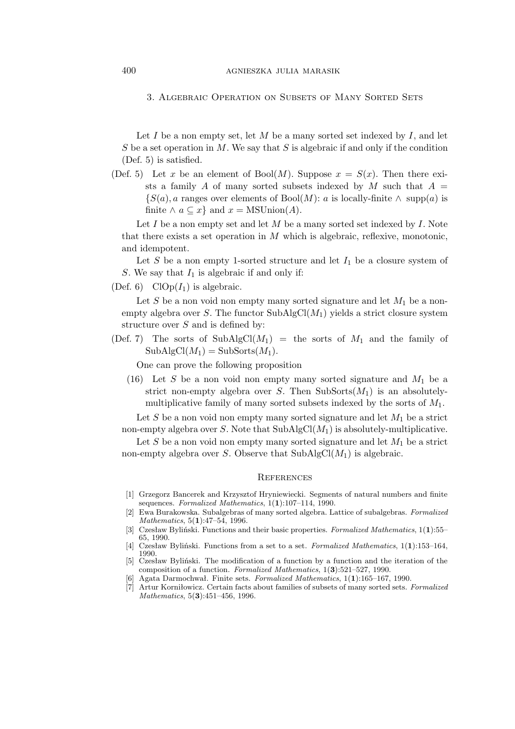3. Algebraic Operation on Subsets of Many Sorted Sets

Let I be a non empty set, let M be a many sorted set indexed by I, and let S be a set operation in M. We say that S is algebraic if and only if the condition (Def. 5) is satisfied.

(Def. 5) Let x be an element of Bool(M). Suppose  $x = S(x)$ . Then there exists a family A of many sorted subsets indexed by M such that  $A =$  ${S(a), a}$  ranges over elements of Bool(*M*): *a* is locally-finite  $\land$  supp(*a*) is finite  $\land a \subseteq x$  and  $x = \text{MSUnion}(A)$ .

Let  $I$  be a non empty set and let  $M$  be a many sorted set indexed by  $I$ . Note that there exists a set operation in  $M$  which is algebraic, reflexive, monotonic, and idempotent.

Let S be a non empty 1-sorted structure and let  $I_1$  be a closure system of S. We say that  $I_1$  is algebraic if and only if:

(Def. 6)  $Clop(I_1)$  is algebraic.

Let S be a non void non empty many sorted signature and let  $M_1$  be a nonempty algebra over S. The functor  $\text{SubAlgCl}(M_1)$  yields a strict closure system structure over  $S$  and is defined by:

(Def. 7) The sorts of SubAlgCl( $M_1$ ) = the sorts of  $M_1$  and the family of  $SubAlgCl(M_1) = SubSorts(M_1).$ 

One can prove the following proposition

(16) Let  $S$  be a non void non empty many sorted signature and  $M_1$  be a strict non-empty algebra over S. Then  $\text{SubSorts}(M_1)$  is an absolutelymultiplicative family of many sorted subsets indexed by the sorts of  $M_1$ .

Let S be a non void non empty many sorted signature and let  $M_1$  be a strict non-empty algebra over S. Note that  $\text{SubAlgCl}(M_1)$  is absolutely-multiplicative.

Let S be a non void non empty many sorted signature and let  $M_1$  be a strict non-empty algebra over S. Observe that  $\text{SubAlgCl}(M_1)$  is algebraic.

## **REFERENCES**

- [1] Grzegorz Bancerek and Krzysztof Hryniewiecki. Segments of natural numbers and finite sequences. *Formalized Mathematics*, 1(**1**):107–114, 1990.
- [2] Ewa Burakowska. Subalgebras of many sorted algebra. Lattice of subalgebras. *Formalized Mathematics*, 5(**1**):47–54, 1996.
- [3] Czesław Byliński. Functions and their basic properties. *Formalized Mathematics*, 1(**1**):55– 65, 1990.
- [4] Czesław Byliński. Functions from a set to a set. *Formalized Mathematics*, 1(**1**):153–164, 1990.
- [5] Czesław Byliński. The modification of a function by a function and the iteration of the composition of a function. *Formalized Mathematics*, 1(**3**):521–527, 1990.
- [6] Agata Darmochwał. Finite sets. *Formalized Mathematics*, 1(**1**):165–167, 1990.
- [7] Artur Korniłowicz. Certain facts about families of subsets of many sorted sets. *Formalized Mathematics*, 5(**3**):451–456, 1996.